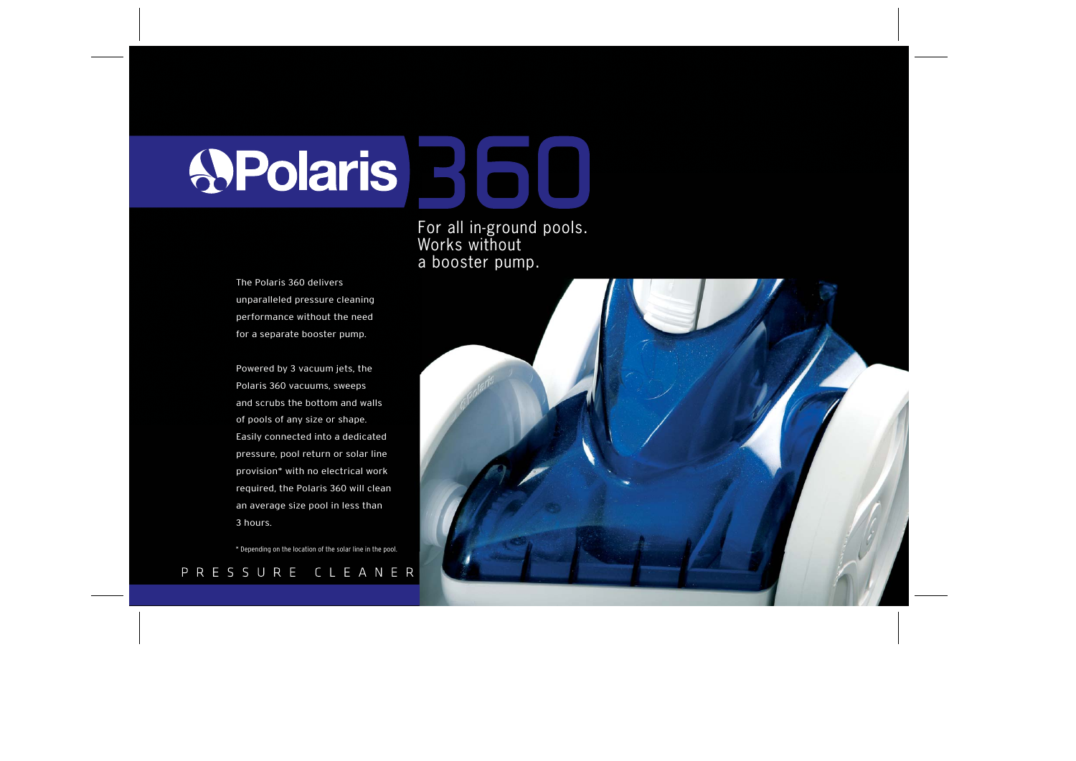**APolaris** 

For all in-ground pools. Works without a booster pump.

The Polaris 360 delivers unparalleled pressure cleaning performance without the need for a separate booster pump.

Powered by 3 vacuum jets, the Polaris 360 vacuums, sweeps and scrubs the bottom and walls of pools of any size or shape. Easily connected into a dedicated pressure, pool return or solar line provision\* with no electrical work required, the Polaris 360 will clean an average size pool in less than 3 hours.

\* Depending on the location of the solar line in the pool.